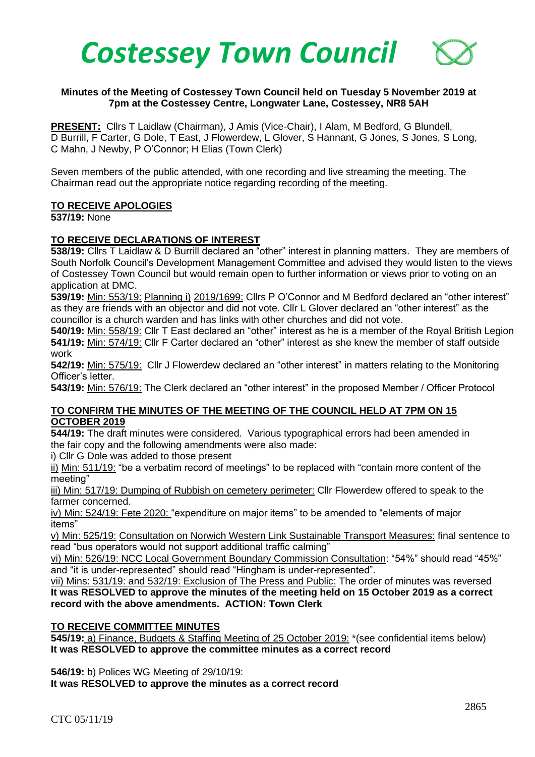

### **Minutes of the Meeting of Costessey Town Council held on Tuesday 5 November 2019 at 7pm at the Costessey Centre, Longwater Lane, Costessey, NR8 5AH**

**PRESENT:** Cllrs T Laidlaw (Chairman), J Amis (Vice-Chair), I Alam, M Bedford, G Blundell, D Burrill, F Carter, G Dole, T East, J Flowerdew, L Glover, S Hannant, G Jones, S Jones, S Long, C Mahn, J Newby, P O'Connor; H Elias (Town Clerk)

Seven members of the public attended, with one recording and live streaming the meeting. The Chairman read out the appropriate notice regarding recording of the meeting.

### **TO RECEIVE APOLOGIES**

**537/19:** None

### **TO RECEIVE DECLARATIONS OF INTEREST**

**538/19:** Cllrs T Laidlaw & D Burrill declared an "other" interest in planning matters. They are members of South Norfolk Council's Development Management Committee and advised they would listen to the views of Costessey Town Council but would remain open to further information or views prior to voting on an application at DMC.

**539/19:** Min: 553/19: Planning i) 2019/1699: Cllrs P O'Connor and M Bedford declared an "other interest" as they are friends with an objector and did not vote. Cllr L Glover declared an "other interest" as the councillor is a church warden and has links with other churches and did not vote.

**540/19:** Min: 558/19: Cllr T East declared an "other" interest as he is a member of the Royal British Legion **541/19:** Min: 574/19: Cllr F Carter declared an "other" interest as she knew the member of staff outside work

**542/19:** Min: 575/19:Cllr J Flowerdew declared an "other interest" in matters relating to the Monitoring Officer's letter.

**543/19:** Min: 576/19: The Clerk declared an "other interest" in the proposed Member / Officer Protocol

### **TO CONFIRM THE MINUTES OF THE MEETING OF THE COUNCIL HELD AT 7PM ON 15 OCTOBER 2019**

**544/19:** The draft minutes were considered.Various typographical errors had been amended in the fair copy and the following amendments were also made:

i) Cllr G Dole was added to those present

ii) Min: 511/19: "be a verbatim record of meetings" to be replaced with "contain more content of the meeting"

iii) Min: 517/19: Dumping of Rubbish on cemetery perimeter: Cllr Flowerdew offered to speak to the farmer concerned.

iv) Min: 524/19: Fete 2020: "expenditure on major items" to be amended to "elements of major items"

v) Min: 525/19: Consultation on Norwich Western Link Sustainable Transport Measures: final sentence to read "bus operators would not support additional traffic calming"

vi) Min: 526/19: NCC Local Government Boundary Commission Consultation: "54%" should read "45%" and "it is under-represented" should read "Hingham is under-represented".

vii) Mins: 531/19: and 532/19: Exclusion of The Press and Public: The order of minutes was reversed **It was RESOLVED to approve the minutes of the meeting held on 15 October 2019 as a correct record with the above amendments. ACTION: Town Clerk**

#### **TO RECEIVE COMMITTEE MINUTES**

**545/19:** a) Finance, Budgets & Staffing Meeting of 25 October 2019: \*(see confidential items below) **It was RESOLVED to approve the committee minutes as a correct record**

**546/19:** b) Polices WG Meeting of 29/10/19:

**It was RESOLVED to approve the minutes as a correct record**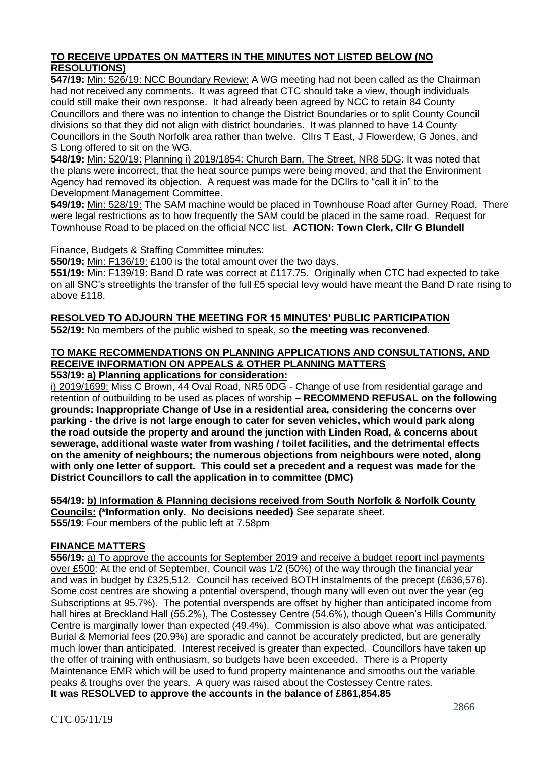# **TO RECEIVE UPDATES ON MATTERS IN THE MINUTES NOT LISTED BELOW (NO RESOLUTIONS)**

**547/19:** Min: 526/19: NCC Boundary Review: A WG meeting had not been called as the Chairman had not received any comments. It was agreed that CTC should take a view, though individuals could still make their own response. It had already been agreed by NCC to retain 84 County Councillors and there was no intention to change the District Boundaries or to split County Council divisions so that they did not align with district boundaries. It was planned to have 14 County Councillors in the South Norfolk area rather than twelve. Cllrs T East, J Flowerdew, G Jones, and S Long offered to sit on the WG.

**548/19:** Min: 520/19: Planning i) 2019/1854: Church Barn, The Street, NR8 5DG: It was noted that the plans were incorrect, that the heat source pumps were being moved, and that the Environment Agency had removed its objection. A request was made for the DCllrs to "call it in" to the Development Management Committee.

**549/19:** Min: 528/19: The SAM machine would be placed in Townhouse Road after Gurney Road. There were legal restrictions as to how frequently the SAM could be placed in the same road. Request for Townhouse Road to be placed on the official NCC list. **ACTION: Town Clerk, Cllr G Blundell** 

Finance, Budgets & Staffing Committee minutes:

**550/19:** Min: F136/19: £100 is the total amount over the two days.

**551/19:** Min: F139/19: Band D rate was correct at £117.75. Originally when CTC had expected to take on all SNC's streetlights the transfer of the full £5 special levy would have meant the Band D rate rising to above £118.

#### **RESOLVED TO ADJOURN THE MEETING FOR 15 MINUTES' PUBLIC PARTICIPATION 552/19:** No members of the public wished to speak, so **the meeting was reconvened**.

# **TO MAKE RECOMMENDATIONS ON PLANNING APPLICATIONS AND CONSULTATIONS, AND RECEIVE INFORMATION ON APPEALS & OTHER PLANNING MATTERS**

# **553/19: a) Planning applications for consideration:**

i) 2019/1699: Miss C Brown, 44 Oval Road, NR5 0DG - Change of use from residential garage and retention of outbuilding to be used as places of worship **– RECOMMEND REFUSAL on the following grounds: Inappropriate Change of Use in a residential area, considering the concerns over parking - the drive is not large enough to cater for seven vehicles, which would park along the road outside the property and around the junction with Linden Road, & concerns about sewerage, additional waste water from washing / toilet facilities, and the detrimental effects on the amenity of neighbours; the numerous objections from neighbours were noted, along with only one letter of support. This could set a precedent and a request was made for the District Councillors to call the application in to committee (DMC)**

**554/19: b) Information & Planning decisions received from South Norfolk & Norfolk County Councils: (\*Information only. No decisions needed)** See separate sheet. **555/19**: Four members of the public left at 7.58pm

### **FINANCE MATTERS**

**556/19:** a) To approve the accounts for September 2019 and receive a budget report incl payments over £500: At the end of September, Council was 1/2 (50%) of the way through the financial year and was in budget by £325,512. Council has received BOTH instalments of the precept (£636,576). Some cost centres are showing a potential overspend, though many will even out over the year (eg Subscriptions at 95.7%). The potential overspends are offset by higher than anticipated income from hall hires at Breckland Hall (55.2%), The Costessey Centre (54.6%), though Queen's Hills Community Centre is marginally lower than expected (49.4%). Commission is also above what was anticipated. Burial & Memorial fees (20.9%) are sporadic and cannot be accurately predicted, but are generally much lower than anticipated. Interest received is greater than expected. Councillors have taken up the offer of training with enthusiasm, so budgets have been exceeded. There is a Property Maintenance EMR which will be used to fund property maintenance and smooths out the variable peaks & troughs over the years. A query was raised about the Costessey Centre rates. **It was RESOLVED to approve the accounts in the balance of £861,854.85**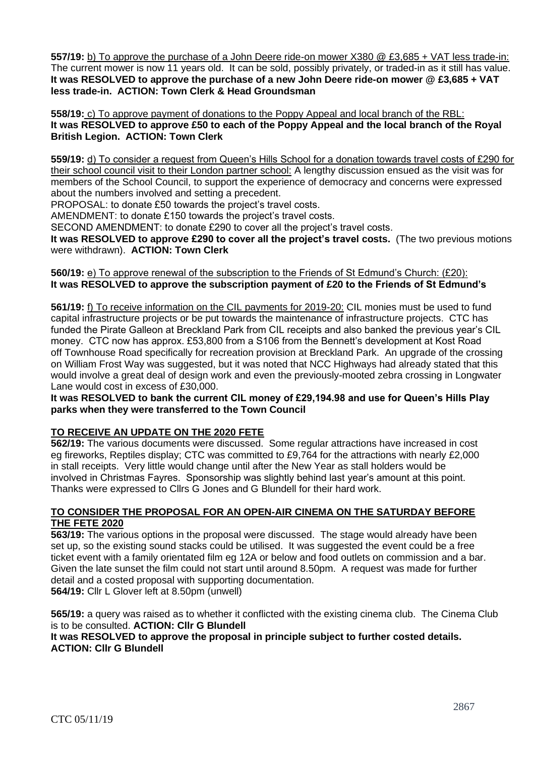**557/19:** b) To approve the purchase of a John Deere ride-on mower X380 @ £3,685 + VAT less trade-in: The current mower is now 11 years old. It can be sold, possibly privately, or traded-in as it still has value. **It was RESOLVED to approve the purchase of a new John Deere ride-on mower @ £3,685 + VAT less trade-in. ACTION: Town Clerk & Head Groundsman**

**558/19:** c) To approve payment of donations to the Poppy Appeal and local branch of the RBL: **It was RESOLVED to approve £50 to each of the Poppy Appeal and the local branch of the Royal British Legion. ACTION: Town Clerk**

**559/19:** d) To consider a request from Queen's Hills School for a donation towards travel costs of £290 for their school council visit to their London partner school: A lengthy discussion ensued as the visit was for members of the School Council, to support the experience of democracy and concerns were expressed about the numbers involved and setting a precedent.

PROPOSAL: to donate £50 towards the project's travel costs.

AMENDMENT: to donate £150 towards the project's travel costs.

SECOND AMENDMENT: to donate £290 to cover all the project's travel costs.

**It was RESOLVED to approve £290 to cover all the project's travel costs.** (The two previous motions were withdrawn). **ACTION: Town Clerk**

### **560/19:** e) To approve renewal of the subscription to the Friends of St Edmund's Church: (£20): **It was RESOLVED to approve the subscription payment of £20 to the Friends of St Edmund's**

**561/19:** f) To receive information on the CIL payments for 2019-20: CIL monies must be used to fund capital infrastructure projects or be put towards the maintenance of infrastructure projects. CTC has funded the Pirate Galleon at Breckland Park from CIL receipts and also banked the previous year's CIL money. CTC now has approx. £53,800 from a S106 from the Bennett's development at Kost Road off Townhouse Road specifically for recreation provision at Breckland Park. An upgrade of the crossing on William Frost Way was suggested, but it was noted that NCC Highways had already stated that this would involve a great deal of design work and even the previously-mooted zebra crossing in Longwater Lane would cost in excess of £30,000.

**It was RESOLVED to bank the current CIL money of £29,194.98 and use for Queen's Hills Play parks when they were transferred to the Town Council** 

# **TO RECEIVE AN UPDATE ON THE 2020 FETE**

**562/19:** The various documents were discussed. Some regular attractions have increased in cost eg fireworks, Reptiles display; CTC was committed to £9,764 for the attractions with nearly £2,000 in stall receipts. Very little would change until after the New Year as stall holders would be involved in Christmas Fayres. Sponsorship was slightly behind last year's amount at this point. Thanks were expressed to Cllrs G Jones and G Blundell for their hard work.

### **TO CONSIDER THE PROPOSAL FOR AN OPEN-AIR CINEMA ON THE SATURDAY BEFORE THE FETE 2020**

**563/19:** The various options in the proposal were discussed. The stage would already have been set up, so the existing sound stacks could be utilised. It was suggested the event could be a free ticket event with a family orientated film eg 12A or below and food outlets on commission and a bar. Given the late sunset the film could not start until around 8.50pm. A request was made for further detail and a costed proposal with supporting documentation.

**564/19:** Cllr L Glover left at 8.50pm (unwell)

**565/19:** a query was raised as to whether it conflicted with the existing cinema club. The Cinema Club is to be consulted. **ACTION: Cllr G Blundell** 

### **It was RESOLVED to approve the proposal in principle subject to further costed details. ACTION: Cllr G Blundell**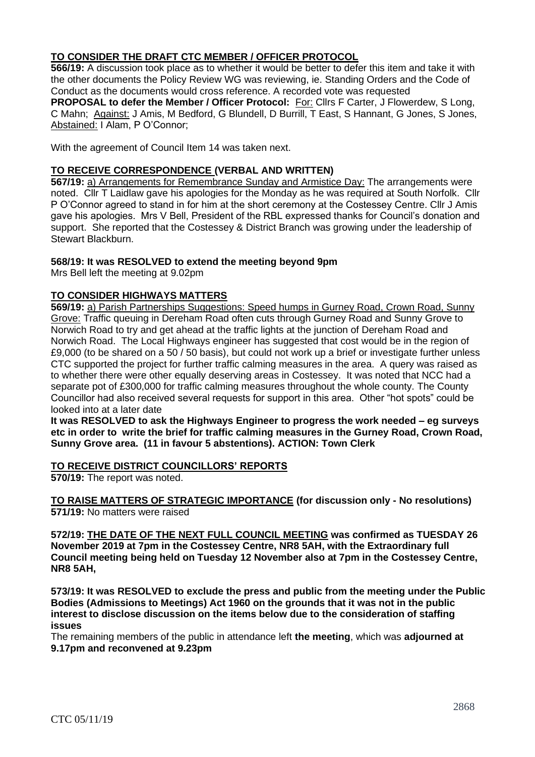## **TO CONSIDER THE DRAFT CTC MEMBER / OFFICER PROTOCOL**

**566/19:** A discussion took place as to whether it would be better to defer this item and take it with the other documents the Policy Review WG was reviewing, ie. Standing Orders and the Code of Conduct as the documents would cross reference. A recorded vote was requested

**PROPOSAL to defer the Member / Officer Protocol:** For: Cllrs F Carter, J Flowerdew, S Long, C Mahn; Against: J Amis, M Bedford, G Blundell, D Burrill, T East, S Hannant, G Jones, S Jones, Abstained: I Alam, P O'Connor;

With the agreement of Council Item 14 was taken next.

### **TO RECEIVE CORRESPONDENCE (VERBAL AND WRITTEN)**

**567/19:** a) Arrangements for Remembrance Sunday and Armistice Day: The arrangements were noted. Cllr T Laidlaw gave his apologies for the Monday as he was required at South Norfolk. Cllr P O'Connor agreed to stand in for him at the short ceremony at the Costessey Centre. Cllr J Amis gave his apologies. Mrs V Bell, President of the RBL expressed thanks for Council's donation and support. She reported that the Costessey & District Branch was growing under the leadership of Stewart Blackburn.

### **568/19: It was RESOLVED to extend the meeting beyond 9pm**

Mrs Bell left the meeting at 9.02pm

### **TO CONSIDER HIGHWAYS MATTERS**

**569/19:** a) Parish Partnerships Suggestions: Speed humps in Gurney Road, Crown Road, Sunny Grove: Traffic queuing in Dereham Road often cuts through Gurney Road and Sunny Grove to Norwich Road to try and get ahead at the traffic lights at the junction of Dereham Road and Norwich Road. The Local Highways engineer has suggested that cost would be in the region of £9,000 (to be shared on a 50 / 50 basis), but could not work up a brief or investigate further unless CTC supported the project for further traffic calming measures in the area. A query was raised as to whether there were other equally deserving areas in Costessey. It was noted that NCC had a separate pot of £300,000 for traffic calming measures throughout the whole county. The County Councillor had also received several requests for support in this area. Other "hot spots" could be looked into at a later date

**It was RESOLVED to ask the Highways Engineer to progress the work needed – eg surveys etc in order to write the brief for traffic calming measures in the Gurney Road, Crown Road, Sunny Grove area. (11 in favour 5 abstentions). ACTION: Town Clerk**

**TO RECEIVE DISTRICT COUNCILLORS' REPORTS**

**570/19:** The report was noted.

**TO RAISE MATTERS OF STRATEGIC IMPORTANCE (for discussion only - No resolutions) 571/19:** No matters were raised

**572/19: THE DATE OF THE NEXT FULL COUNCIL MEETING was confirmed as TUESDAY 26 November 2019 at 7pm in the Costessey Centre, NR8 5AH, with the Extraordinary full Council meeting being held on Tuesday 12 November also at 7pm in the Costessey Centre, NR8 5AH,**

**573/19: It was RESOLVED to exclude the press and public from the meeting under the Public Bodies (Admissions to Meetings) Act 1960 on the grounds that it was not in the public interest to disclose discussion on the items below due to the consideration of staffing issues**

The remaining members of the public in attendance left **the meeting**, which was **adjourned at 9.17pm and reconvened at 9.23pm**